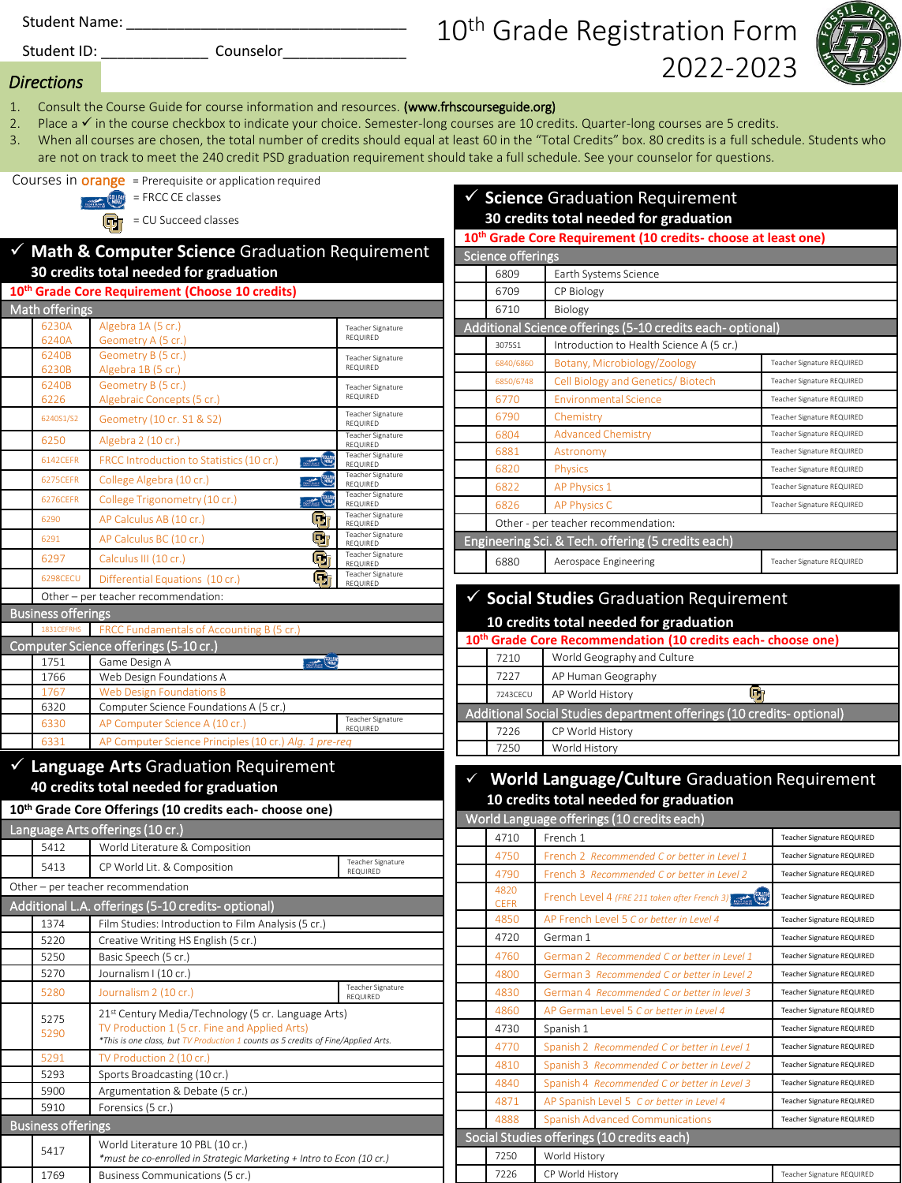Student Name: \_\_\_\_\_\_\_\_\_\_\_\_\_\_\_\_\_\_\_\_\_\_\_\_\_\_\_\_\_\_\_\_\_\_

Student ID: \_\_\_\_\_\_\_\_\_\_\_\_\_ Counselor\_\_\_\_\_\_\_\_\_\_\_\_\_\_\_

# 10<sup>th</sup> Grade Registration Form 2022-2023

✓ **Science** Graduation Requirement



#### *Directions*

- 1. Consult the Course Guide for course information and resources. (www.frhscourseguide.org)
- 2. Place a ✓ in the course checkbox to indicate your choice. Semester-long courses are 10 credits. Quarter-long courses are 5 credits.
- 3. When all courses are chosen, the total number of credits should equal at least 60 in the "Total Credits" box. 80 credits is a full schedule. Students who are not on track to meet the 240 credit PSD graduation requirement should take a full schedule. See your counselor for questions.

Courses in **orange** = Prerequisite or application required



= CU Succeed classes

### ✓ **Math & Computer Science** Graduation Requirement **30 credits total needed for graduation**

#### **10th Grade Core Requirement (Choose 10 credits)**

| 10 Grade Core Requirement (Choose 10 Credits) |                                     |                                                           |                                             |  |  |
|-----------------------------------------------|-------------------------------------|-----------------------------------------------------------|---------------------------------------------|--|--|
| Math offerings                                |                                     |                                                           |                                             |  |  |
|                                               | 6230A                               | Algebra 1A (5 cr.)                                        | <b>Teacher Signature</b>                    |  |  |
|                                               | 6240A                               | Geometry A (5 cr.)                                        | REQUIRED                                    |  |  |
|                                               | 6240B                               | Geometry B (5 cr.)                                        | Teacher Signature                           |  |  |
|                                               | 6230B                               | Algebra 1B (5 cr.)                                        | <b>REQUIRED</b>                             |  |  |
|                                               | 6240B                               | Geometry B (5 cr.)                                        | Teacher Signature                           |  |  |
|                                               | 6226                                | Algebraic Concepts (5 cr.)                                | REQUIRED                                    |  |  |
|                                               | 6240S1/S2                           | Geometry (10 cr. S1 & S2)                                 | Teacher Signature<br>REQUIRED               |  |  |
|                                               | 6250                                | Algebra 2 (10 cr.)                                        | Teacher Signature<br>REQUIRED               |  |  |
|                                               | 6142CEFR                            | <b>EQUITE</b><br>FRCC Introduction to Statistics (10 cr.) | <b>Teacher Signature</b><br><b>REQUIRED</b> |  |  |
|                                               | 6275CEFR                            | <b>EQUITE</b><br>College Algebra (10 cr.)                 | Teacher Signature<br><b>REQUIRED</b>        |  |  |
|                                               | 6276CEFR                            | $\frac{1}{2}$<br>College Trigonometry (10 cr.)            | Teacher Signature<br>REQUIRED               |  |  |
|                                               | 6290                                | o,<br>AP Calculus AB (10 cr.)                             | <b>Teacher Signature</b><br>REQUIRED        |  |  |
|                                               | 6291                                | Ù<br>AP Calculus BC (10 cr.)                              | <b>Teacher Signature</b><br>REQUIRED        |  |  |
|                                               | 6297                                | o,<br>Calculus III (10 cr.)                               | <b>Teacher Signature</b><br>REQUIRED        |  |  |
|                                               | <b>6298CECU</b>                     | (q)<br>Differential Equations (10 cr.)                    | <b>Teacher Signature</b><br>REQUIRED        |  |  |
|                                               | Other - per teacher recommendation: |                                                           |                                             |  |  |
|                                               | <b>Business offerings</b>           |                                                           |                                             |  |  |
|                                               | 1831CEFRHS                          | FRCC Fundamentals of Accounting B (5 cr.)                 |                                             |  |  |
|                                               |                                     | Computer Science offerings (5-10 cr.)                     |                                             |  |  |
|                                               | 1751                                | <b>BOLLER</b><br>Game Design A                            |                                             |  |  |
|                                               | 1766                                | Web Design Foundations A                                  |                                             |  |  |
|                                               | 1767                                | <b>Web Design Foundations B</b>                           |                                             |  |  |
|                                               | 6320                                | Computer Science Foundations A (5 cr.)                    |                                             |  |  |
|                                               | 6330                                | AP Computer Science A (10 cr.)                            | <b>Teacher Signature</b><br>REQUIRED        |  |  |
|                                               | 6331                                | AP Computer Science Principles (10 cr.) Alg. 1 pre-reg    |                                             |  |  |
|                                               |                                     |                                                           |                                             |  |  |

## ✓ **Language Arts** Graduation Requirement **40 credits total needed for graduation**

#### **10th Grade Core Offerings (10 credits each- choose one)** Language Arts offerings (10 cr.) 5412 World Literature & Composition **5413** CP World Lit. & Composition Teacher Signature REQUIRED Other – per teacher recommendation Additional L.A. offerings (5-10 credits- optional) 1374 Film Studies: Introduction to Film Analysis (5 cr.) 5220 Creative Writing HS English (5 cr.) 5250 | Basic Speech (5 cr.) 5270 Journalism I (10 cr.) 5280 Journalism 2 (10 cr.) Teacher Signature REQUIRED 5275 5290 21st Century Media/Technology (5 cr. Language Arts) TV Production 1 (5 cr. Fine and Applied Arts) *\*This is one class, but TV Production 1 counts as 5 credits of Fine/Applied Arts.* 5291 TV Production 2 (10 cr.) 5293 Sports Broadcasting (10 cr.) 5900 Argumentation & Debate (5 cr.) 5910 Forensics (5 cr.) Business offerings <sup>5417</sup> World Literature 10 PBL (10 cr.) *\*must be co-enrolled in Strategic Marketing + Intro to Econ (10 cr.)* 1769 Business Communications (5 cr.)

| 30 credits total needed for graduation                                    |                                     |                                                            |                            |  |
|---------------------------------------------------------------------------|-------------------------------------|------------------------------------------------------------|----------------------------|--|
| 10 <sup>th</sup> Grade Core Requirement (10 credits- choose at least one) |                                     |                                                            |                            |  |
|                                                                           | Science offerings                   |                                                            |                            |  |
|                                                                           | 6809                                | Earth Systems Science                                      |                            |  |
|                                                                           | 6709                                | CP Biology                                                 |                            |  |
|                                                                           | 6710                                | Biology                                                    |                            |  |
|                                                                           |                                     | Additional Science offerings (5-10 credits each- optional) |                            |  |
|                                                                           | 3075S1                              | Introduction to Health Science A (5 cr.)                   |                            |  |
|                                                                           | 6840/6860                           | Botany, Microbiology/Zoology                               | Teacher Signature REQUIRED |  |
|                                                                           | 6850/6748                           | Cell Biology and Genetics/Biotech                          | Teacher Signature REQUIRED |  |
|                                                                           | 6770                                | <b>Environmental Science</b>                               | Teacher Signature REQUIRED |  |
|                                                                           | 6790                                | Chemistry                                                  | Teacher Signature REQUIRED |  |
|                                                                           | 6804                                | <b>Advanced Chemistry</b>                                  | Teacher Signature REQUIRED |  |
|                                                                           | 6881                                | Astronomy                                                  | Teacher Signature REQUIRED |  |
|                                                                           | 6820                                | Physics                                                    | Teacher Signature REQUIRED |  |
|                                                                           | 6822                                | AP Physics 1                                               | Teacher Signature REQUIRED |  |
|                                                                           | 6826                                | <b>AP Physics C</b>                                        | Teacher Signature REQUIRED |  |
|                                                                           | Other - per teacher recommendation: |                                                            |                            |  |
| Engineering Sci. & Tech. offering (5 credits each)                        |                                     |                                                            |                            |  |
|                                                                           | 6880                                | Aerospace Engineering                                      | Teacher Signature REQUIRED |  |

#### ✓ **Social Studies** Graduation Requirement **10 credits total needed for graduation 10th Grade Core Recommendation (10 credits each- choose one)** 7210 World Geography and Culture 7227 AP Human Geography 7243CECU AP World History  $\Box$ Additional Social Studies department offerings (10 credits- optional) 7226 CP World History 7250 World History

## **World Language/Culture Graduation Requirement 10 credits total needed for graduation**

| World Language offerings (10 credits each) |                                                                 |                                   |  |  |
|--------------------------------------------|-----------------------------------------------------------------|-----------------------------------|--|--|
| 4710                                       | French 1                                                        | Teacher Signature REQUIRED        |  |  |
| 4750                                       | French 2 Recommended C or better in Level 1                     | Teacher Signature REQUIRED        |  |  |
| 4790                                       | French 3 Recommended C or better in Level 2                     | <b>Teacher Signature REQUIRED</b> |  |  |
| 4820<br><b>CEFR</b>                        | <b>COLLEGE</b><br>French Level 4 (FRE 211 taken after French 3) | <b>Teacher Signature REQUIRED</b> |  |  |
| 4850                                       | AP French Level 5 C or better in Level 4                        | Teacher Signature REQUIRED        |  |  |
| 4720                                       | German 1                                                        | Teacher Signature REQUIRED        |  |  |
| 4760                                       | German 2 Recommended C or better in Level 1                     | Teacher Signature REQUIRED        |  |  |
| 4800                                       | German 3 Recommended C or better in Level 2                     | Teacher Signature REQUIRED        |  |  |
| 4830                                       | German 4 Recommended C or better in level 3                     | Teacher Signature REQUIRED        |  |  |
| 4860                                       | AP German Level 5 C or better in Level 4                        | Teacher Signature REQUIRED        |  |  |
| 4730                                       | Spanish 1                                                       | Teacher Signature REQUIRED        |  |  |
| 4770                                       | Spanish 2 Recommended C or better in Level 1                    | Teacher Signature REQUIRED        |  |  |
| 4810                                       | Spanish 3 Recommended C or better in Level 2                    | Teacher Signature REQUIRED        |  |  |
| 4840                                       | Spanish 4 Recommended C or better in Level 3                    | Teacher Signature REQUIRED        |  |  |
| 4871                                       | AP Spanish Level 5 C or better in Level 4                       | Teacher Signature REQUIRED        |  |  |
| 4888                                       | <b>Spanish Advanced Communications</b>                          | Teacher Signature REQUIRED        |  |  |
| Social Studies offerings (10 credits each) |                                                                 |                                   |  |  |
| 7250                                       | World History                                                   |                                   |  |  |

7226 CP World History **CP World History CP World History**